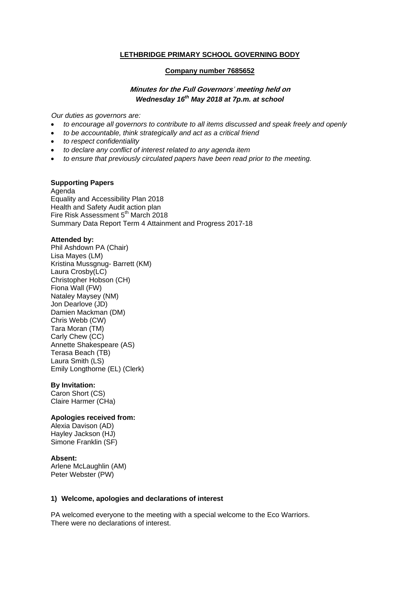### **LETHBRIDGE PRIMARY SCHOOL GOVERNING BODY**

#### **Company number 7685652**

# **Minutes for the Full Governors**' **meeting held on**  *Wednesday 16th May 2018 at 7p.m. at school*

*Our duties as governors are:* 

- *to encourage all governors to contribute to all items discussed and speak freely and openly*
- *to be accountable, think strategically and act as a critical friend*
- *to respect confidentiality*
- *to declare any conflict of interest related to any agenda item*
- *to ensure that previously circulated papers have been read prior to the meeting.*

### **Supporting Papers**

Agenda Equality and Accessibility Plan 2018 Health and Safety Audit action plan Fire Risk Assessment 5<sup>th</sup> March 2018 Summary Data Report Term 4 Attainment and Progress 2017-18

#### **Attended by:**

Phil Ashdown PA (Chair) Lisa Mayes (LM) Kristina Mussgnug- Barrett (KM) Laura Crosby(LC) Christopher Hobson (CH) Fiona Wall (FW) Nataley Maysey (NM) Jon Dearlove (JD) Damien Mackman (DM) Chris Webb (CW) Tara Moran (TM) Carly Chew (CC) Annette Shakespeare (AS) Terasa Beach (TB) Laura Smith (LS) Emily Longthorne (EL) (Clerk)

#### **By Invitation:**

Caron Short (CS) Claire Harmer (CHa)

#### **Apologies received from:**

Alexia Davison (AD) Hayley Jackson (HJ) Simone Franklin (SF)

#### **Absent:**

Arlene McLaughlin (AM) Peter Webster (PW)

#### **1) Welcome, apologies and declarations of interest**

PA welcomed everyone to the meeting with a special welcome to the Eco Warriors. There were no declarations of interest.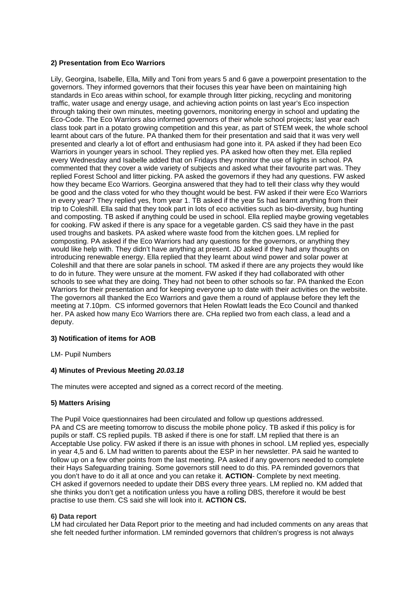# **2) Presentation from Eco Warriors**

Lily, Georgina, Isabelle, Ella, Milly and Toni from years 5 and 6 gave a powerpoint presentation to the governors. They informed governors that their focuses this year have been on maintaining high standards in Eco areas within school, for example through litter picking, recycling and monitoring traffic, water usage and energy usage, and achieving action points on last year's Eco inspection through taking their own minutes, meeting governors, monitoring energy in school and updating the Eco-Code. The Eco Warriors also informed governors of their whole school projects; last year each class took part in a potato growing competition and this year, as part of STEM week, the whole school learnt about cars of the future. PA thanked them for their presentation and said that it was very well presented and clearly a lot of effort and enthusiasm had gone into it. PA asked if they had been Eco Warriors in younger years in school. They replied yes. PA asked how often they met. Ella replied every Wednesday and Isabelle added that on Fridays they monitor the use of lights in school. PA commented that they cover a wide variety of subjects and asked what their favourite part was. They replied Forest School and litter picking. PA asked the governors if they had any questions. FW asked how they became Eco Warriors. Georgina answered that they had to tell their class why they would be good and the class voted for who they thought would be best. FW asked if their were Eco Warriors in every year? They replied yes, from year 1. TB asked if the year 5s had learnt anything from their trip to Coleshill. Ella said that they took part in lots of eco activities such as bio-diversity, bug hunting and composting. TB asked if anything could be used in school. Ella replied maybe growing vegetables for cooking. FW asked if there is any space for a vegetable garden. CS said they have in the past used troughs and baskets. PA asked where waste food from the kitchen goes. LM replied for composting. PA asked if the Eco Warriors had any questions for the governors, or anything they would like help with. They didn't have anything at present. JD asked if they had any thoughts on introducing renewable energy. Ella replied that they learnt about wind power and solar power at Coleshill and that there are solar panels in school. TM asked if there are any projects they would like to do in future. They were unsure at the moment. FW asked if they had collaborated with other schools to see what they are doing. They had not been to other schools so far. PA thanked the Econ Warriors for their presentation and for keeping everyone up to date with their activities on the website. The governors all thanked the Eco Warriors and gave them a round of applause before they left the meeting at 7.10pm. CS informed governors that Helen Rowlatt leads the Eco Council and thanked her. PA asked how many Eco Warriors there are. CHa replied two from each class, a lead and a deputy.

## **3) Notification of items for AOB**

LM- Pupil Numbers

## **4) Minutes of Previous Meeting** *20.03.18*

The minutes were accepted and signed as a correct record of the meeting.

## **5) Matters Arising**

The Pupil Voice questionnaires had been circulated and follow up questions addressed. PA and CS are meeting tomorrow to discuss the mobile phone policy. TB asked if this policy is for pupils or staff. CS replied pupils. TB asked if there is one for staff. LM replied that there is an Acceptable Use policy. FW asked if there is an issue with phones in school. LM replied yes, especially in year 4,5 and 6. LM had written to parents about the ESP in her newsletter. PA said he wanted to follow up on a few other points from the last meeting. PA asked if any governors needed to complete their Hays Safeguarding training. Some governors still need to do this. PA reminded governors that you don't have to do it all at once and you can retake it. **ACTION**- Complete by next meeting. CH asked if governors needed to update their DBS every three years. LM replied no. KM added that she thinks you don't get a notification unless you have a rolling DBS, therefore it would be best practise to use them. CS said she will look into it. **ACTION CS.**

### **6) Data report**

LM had circulated her Data Report prior to the meeting and had included comments on any areas that she felt needed further information. LM reminded governors that children's progress is not always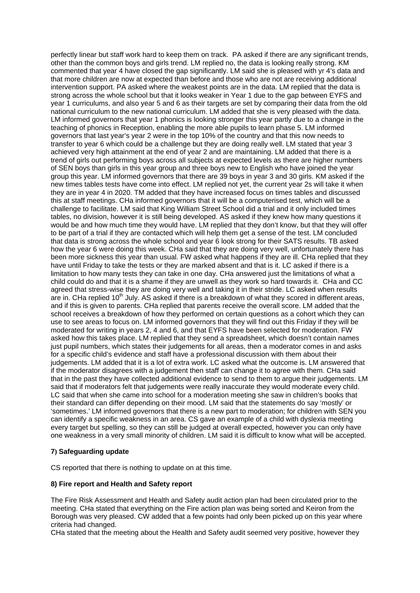perfectly linear but staff work hard to keep them on track. PA asked if there are any significant trends, other than the common boys and girls trend. LM replied no, the data is looking really strong. KM commented that year 4 have closed the gap significantly. LM said she is pleased with yr 4's data and that more children are now at expected than before and those who are not are receiving additional intervention support. PA asked where the weakest points are in the data. LM replied that the data is strong across the whole school but that it looks weaker in Year 1 due to the gap between EYFS and year 1 curriculums, and also year 5 and 6 as their targets are set by comparing their data from the old national curriculum to the new national curriculum. LM added that she is very pleased with the data. LM informed governors that year 1 phonics is looking stronger this year partly due to a change in the teaching of phonics in Reception, enabling the more able pupils to learn phase 5. LM informed governors that last year's year 2 were in the top 10% of the country and that this now needs to transfer to year 6 which could be a challenge but they are doing really well. LM stated that year 3 achieved very high attainment at the end of year 2 and are maintaining. LM added that there is a trend of girls out performing boys across all subjects at expected levels as there are higher numbers of SEN boys than girls in this year group and three boys new to English who have joined the year group this year. LM informed governors that there are 39 boys in year 3 and 30 girls. KM asked if the new times tables tests have come into effect. LM replied not yet, the current year 2s will take it when they are in year 4 in 2020. TM added that they have increased focus on times tables and discussed this at staff meetings. CHa informed governors that it will be a computerised test, which will be a challenge to facilitate. LM said that King William Street School did a trial and it only included times tables, no division, however it is still being developed. AS asked if they knew how many questions it would be and how much time they would have. LM replied that they don't know, but that they will offer to be part of a trial if they are contacted which will help them get a sense of the test. LM concluded that data is strong across the whole school and year 6 look strong for their SATS results. TB asked how the year 6 were doing this week. CHa said that they are doing very well, unfortunately there has been more sickness this year than usual. FW asked what happens if they are ill. CHa replied that they have until Friday to take the tests or they are marked absent and that is it. LC asked if there is a limitation to how many tests they can take in one day. CHa answered just the limitations of what a child could do and that it is a shame if they are unwell as they work so hard towards it. CHa and CC agreed that stress-wise they are doing very well and taking it in their stride. LC asked when results are in. CHa replied  $10<sup>th</sup>$  July. AS asked if there is a breakdown of what they scored in different areas, and if this is given to parents. CHa replied that parents receive the overall score. LM added that the school receives a breakdown of how they performed on certain questions as a cohort which they can use to see areas to focus on. LM informed governors that they will find out this Friday if they will be moderated for writing in years 2, 4 and 6, and that EYFS have been selected for moderation. FW asked how this takes place. LM replied that they send a spreadsheet, which doesn't contain names just pupil numbers, which states their judgements for all areas, then a moderator comes in and asks for a specific child's evidence and staff have a professional discussion with them about their judgements. LM added that it is a lot of extra work. LC asked what the outcome is. LM answered that if the moderator disagrees with a judgement then staff can change it to agree with them. CHa said that in the past they have collected additional evidence to send to them to argue their judgements. LM said that if moderators felt that judgements were really inaccurate they would moderate every child. LC said that when she came into school for a moderation meeting she saw in children's books that their standard can differ depending on their mood. LM said that the statements do say 'mostly' or 'sometimes.' LM informed governors that there is a new part to moderation; for children with SEN you can identify a specific weakness in an area. CS gave an example of a child with dyslexia meeting every target but spelling, so they can still be judged at overall expected, however you can only have one weakness in a very small minority of children. LM said it is difficult to know what will be accepted.

### **7) Safeguarding update**

CS reported that there is nothing to update on at this time.

### **8) Fire report and Health and Safety report**

The Fire Risk Assessment and Health and Safety audit action plan had been circulated prior to the meeting. CHa stated that everything on the Fire action plan was being sorted and Keiron from the Borough was very pleased. CW added that a few points had only been picked up on this year where criteria had changed.

CHa stated that the meeting about the Health and Safety audit seemed very positive, however they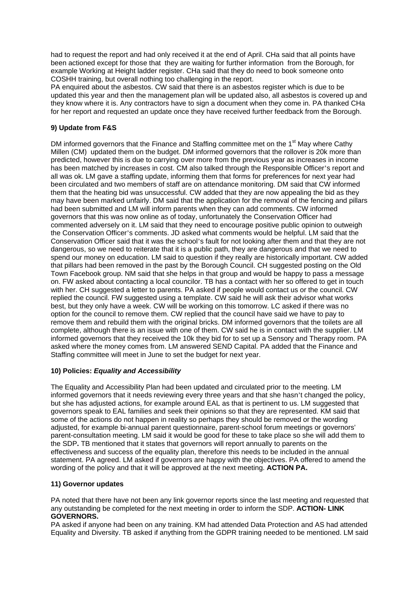had to request the report and had only received it at the end of April. CHa said that all points have been actioned except for those that they are waiting for further information from the Borough, for example Working at Height ladder register. CHa said that they do need to book someone onto COSHH training, but overall nothing too challenging in the report.

PA enquired about the asbestos. CW said that there is an asbestos register which is due to be updated this year and then the management plan will be updated also, all asbestos is covered up and they know where it is. Any contractors have to sign a document when they come in. PA thanked CHa for her report and requested an update once they have received further feedback from the Borough.

# **9) Update from F&S**

DM informed governors that the Finance and Staffing committee met on the 1<sup>st</sup> May where Cathy Millen (CM) updated them on the budget. DM informed governors that the rollover is 20k more than predicted, however this is due to carrying over more from the previous year as increases in income has been matched by increases in cost. CM also talked through the Responsible Officer's report and all was ok. LM gave a staffing update, informing them that forms for preferences for next year had been circulated and two members of staff are on attendance monitoring. DM said that CW informed them that the heating bid was unsuccessful. CW added that they are now appealing the bid as they may have been marked unfairly. DM said that the application for the removal of the fencing and pillars had been submitted and LM will inform parents when they can add comments. CW informed governors that this was now online as of today, unfortunately the Conservation Officer had commented adversely on it. LM said that they need to encourage positive public opinion to outweigh the Conservation Officer's comments. JD asked what comments would be helpful. LM said that the Conservation Officer said that it was the school's fault for not looking after them and that they are not dangerous, so we need to reiterate that it is a public path, they are dangerous and that we need to spend our money on education. LM said to question if they really are historically important. CW added that pillars had been removed in the past by the Borough Council. CH suggested posting on the Old Town Facebook group. NM said that she helps in that group and would be happy to pass a message on. FW asked about contacting a local councilor. TB has a contact with her so offered to get in touch with her. CH suggested a letter to parents. PA asked if people would contact us or the council. CW replied the council. FW suggested using a template. CW said he will ask their advisor what works best, but they only have a week. CW will be working on this tomorrow. LC asked if there was no option for the council to remove them. CW replied that the council have said we have to pay to remove them and rebuild them with the original bricks. DM informed governors that the toilets are all complete, although there is an issue with one of them. CW said he is in contact with the supplier. LM informed governors that they received the 10k they bid for to set up a Sensory and Therapy room. PA asked where the money comes from. LM answered SEND Capital. PA added that the Finance and Staffing committee will meet in June to set the budget for next year.

## **10) Policies:** *Equality and Accessibility*

The Equality and Accessibility Plan had been updated and circulated prior to the meeting. LM informed governors that it needs reviewing every three years and that she hasn't changed the policy, but she has adjusted actions, for example around EAL as that is pertinent to us. LM suggested that governors speak to EAL families and seek their opinions so that they are represented. KM said that some of the actions do not happen in reality so perhaps they should be removed or the wording adjusted, for example bi-annual parent questionnaire, parent-school forum meetings or governors' parent-consultation meeting. LM said it would be good for these to take place so she will add them to the SDP**.** TB mentioned that it states that governors will report annually to parents on the effectiveness and success of the equality plan, therefore this needs to be included in the annual statement. PA agreed. LM asked if governors are happy with the objectives. PA offered to amend the wording of the policy and that it will be approved at the next meeting. **ACTION PA.**

## **11) Governor updates**

PA noted that there have not been any link governor reports since the last meeting and requested that any outstanding be completed for the next meeting in order to inform the SDP. **ACTION- LINK GOVERNORS.** 

PA asked if anyone had been on any training. KM had attended Data Protection and AS had attended Equality and Diversity. TB asked if anything from the GDPR training needed to be mentioned. LM said